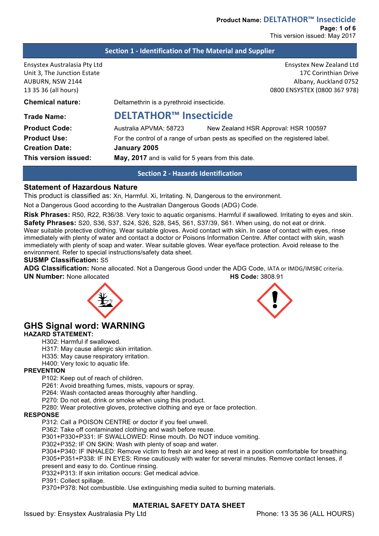## **Section 1 - Identification of The Material and Supplier**

Ensystex Australasia Pty Ltd Ensystex New Zealand Ltd Unit 3, The Junction Estate 17 November 2012 17 November 2012 17 November 2012 17 C Corinthian Drive AUBURN, NSW 2144 **Albany, Auckland 0752** Albany, Auckland 0752 13 35 36 (all hours) 25 36 (all hours) 25 36 (all hours) 25 36 (all hours) 25 36 (all hours) 25 36 (all hours)

| Deltamethrin is a pyrethroid insecticide.                                       |                                      |  |
|---------------------------------------------------------------------------------|--------------------------------------|--|
| <b>DELTATHOR™ Insecticide</b>                                                   |                                      |  |
| Australia APVMA: 58723                                                          | New Zealand HSR Approval: HSR 100597 |  |
| For the control of a range of urban pests as specified on the registered label. |                                      |  |
| January 2005                                                                    |                                      |  |
| May, 2017 and is valid for 5 years from this date.                              |                                      |  |
|                                                                                 |                                      |  |

## **Section 2 - Hazards Identification**

#### **Statement of Hazardous Nature**

This product is classified as: Xn, Harmful. Xi, Irritating. N, Dangerous to the environment.

Not a Dangerous Good according to the Australian Dangerous Goods (ADG) Code.

**Risk Phrases:** R50, R22, R36/38. Very toxic to aquatic organisms. Harmful if swallowed. Irritating to eyes and skin. **Safety Phrases:** S20, S36, S37, S24, S26, S28, S45, S61, S37/39, S61. When using, do not eat or drink. Wear suitable protective clothing. Wear suitable gloves. Avoid contact with skin. In case of contact with eyes, rinse immediately with plenty of water and contact a doctor or Poisons Information Centre. After contact with skin, wash immediately with plenty of soap and water. Wear suitable gloves. Wear eye/face protection. Avoid release to the environment. Refer to special instructions/safety data sheet.

#### **SUSMP Classification:** S5

**ADG Classification:** None allocated. Not a Dangerous Good under the ADG Code, IATA or IMDG/IMSBC criteria. **UN Number:** None allocated **HS Code:** 3808.91

# **GHS Signal word: WARNING**

## **HAZARD STATEMENT:**

H302: Harmful if swallowed.

- H317: May cause allergic skin irritation.
- H335: May cause respiratory irritation.

H400: Very toxic to aquatic life.

#### **PREVENTION**

P102: Keep out of reach of children.

P261: Avoid breathing fumes, mists, vapours or spray.

P264: Wash contacted areas thoroughly after handling.

P270: Do not eat, drink or smoke when using this product.

P280: Wear protective gloves, protective clothing and eye or face protection.

## **RESPONSE**

P312: Call a POISON CENTRE or doctor if you feel unwell.

P362: Take off contaminated clothing and wash before reuse.

P301+P330+P331: IF SWALLOWED: Rinse mouth. Do NOT induce vomiting.

P302+P352: IF ON SKIN: Wash with plenty of soap and water.

P304+P340: IF INHALED: Remove victim to fresh air and keep at rest in a position comfortable for breathing. P305+P351+P338: IF IN EYES: Rinse cautiously with water for several minutes. Remove contact lenses, if present and easy to do. Continue rinsing.

P332+P313: If skin irritation occurs: Get medical advice.

P391: Collect spillage.

P370+P378: Not combustible. Use extinguishing media suited to burning materials.

## **MATERIAL SAFETY DATA SHEET**

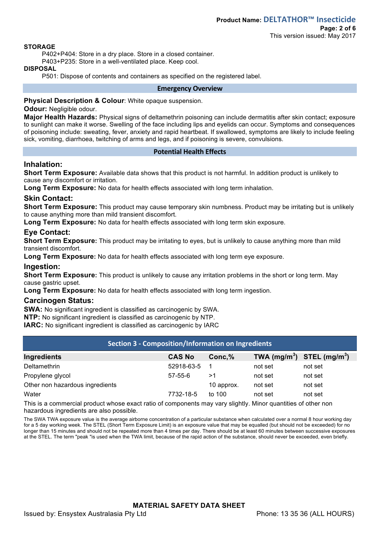#### **STORAGE**

P402+P404: Store in a dry place. Store in a closed container.

P403+P235: Store in a well-ventilated place. Keep cool.

#### **DISPOSAL**

P501: Dispose of contents and containers as specified on the registered label.

#### **Emergency Overview**

## **Physical Description & Colour**: White opaque suspension.

## **Odour:** Negligible odour.

**Major Health Hazards:** Physical signs of deltamethrin poisoning can include dermatitis after skin contact; exposure to sunlight can make it worse. Swelling of the face including lips and eyelids can occur. Symptoms and consequences of poisoning include: sweating, fever, anxiety and rapid heartbeat. If swallowed, symptoms are likely to include feeling sick, vomiting, diarrhoea, twitching of arms and legs, and if poisoning is severe, convulsions.

#### **Potential Health Effects**

## **Inhalation:**

**Short Term Exposure:** Available data shows that this product is not harmful. In addition product is unlikely to cause any discomfort or irritation.

**Long Term Exposure:** No data for health effects associated with long term inhalation.

## **Skin Contact:**

**Short Term Exposure:** This product may cause temporary skin numbness. Product may be irritating but is unlikely to cause anything more than mild transient discomfort.

**Long Term Exposure:** No data for health effects associated with long term skin exposure.

## **Eye Contact:**

**Short Term Exposure:** This product may be irritating to eyes, but is unlikely to cause anything more than mild transient discomfort.

**Long Term Exposure:** No data for health effects associated with long term eye exposure.

### **Ingestion:**

**Short Term Exposure:** This product is unlikely to cause any irritation problems in the short or long term. May cause gastric upset.

**Long Term Exposure:** No data for health effects associated with long term ingestion.

### **Carcinogen Status:**

**SWA:** No significant ingredient is classified as carcinogenic by SWA.

**NTP:** No significant ingredient is classified as carcinogenic by NTP.

**IARC:** No significant ingredient is classified as carcinogenic by IARC

| <b>Section 3 - Composition/Information on Ingredients</b>                                                      |               |            |         |                                |
|----------------------------------------------------------------------------------------------------------------|---------------|------------|---------|--------------------------------|
| Ingredients                                                                                                    | <b>CAS No</b> | Conc,%     |         | TWA $(mg/m^3)$ STEL $(mg/m^3)$ |
| Deltamethrin                                                                                                   | 52918-63-5    |            | not set | not set                        |
| Propylene glycol                                                                                               | $57 - 55 - 6$ | >1         | not set | not set                        |
| Other non hazardous ingredients                                                                                |               | 10 approx. | not set | not set                        |
| Water                                                                                                          | 7732-18-5     | to $100$   | not set | not set                        |
| This is a commercial product whose exact ratio of components may vary clightly. Minor quantities of other none |               |            |         |                                |

This is a commercial product whose exact ratio of components may vary slightly. Minor quantities of other non hazardous ingredients are also possible.

The SWA TWA exposure value is the average airborne concentration of a particular substance when calculated over a normal 8 hour working day for a 5 day working week. The STEL (Short Term Exposure Limit) is an exposure value that may be equalled (but should not be exceeded) for no longer than 15 minutes and should not be repeated more than 4 times per day. There should be at least 60 minutes between successive exposures at the STEL. The term "peak "is used when the TWA limit, because of the rapid action of the substance, should never be exceeded, even briefly.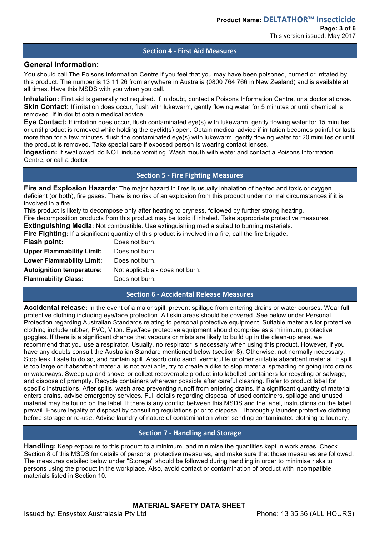## **Section 4 - First Aid Measures**

#### **General Information:**

You should call The Poisons Information Centre if you feel that you may have been poisoned, burned or irritated by this product. The number is 13 11 26 from anywhere in Australia (0800 764 766 in New Zealand) and is available at all times. Have this MSDS with you when you call.

**Inhalation:** First aid is generally not required. If in doubt, contact a Poisons Information Centre, or a doctor at once. **Skin Contact:** If irritation does occur, flush with lukewarm, gently flowing water for 5 minutes or until chemical is removed. If in doubt obtain medical advice.

**Eye Contact:** If irritation does occur, flush contaminated eye(s) with lukewarm, gently flowing water for 15 minutes or until product is removed while holding the eyelid(s) open. Obtain medical advice if irritation becomes painful or lasts more than for a few minutes. flush the contaminated eye(s) with lukewarm, gently flowing water for 20 minutes or until the product is removed. Take special care if exposed person is wearing contact lenses.

**Ingestion:** If swallowed, do NOT induce vomiting. Wash mouth with water and contact a Poisons Information Centre, or call a doctor.

## **Section 5 - Fire Fighting Measures**

**Fire and Explosion Hazards**: The major hazard in fires is usually inhalation of heated and toxic or oxygen deficient (or both), fire gases. There is no risk of an explosion from this product under normal circumstances if it is involved in a fire.

This product is likely to decompose only after heating to dryness, followed by further strong heating. Fire decomposition products from this product may be toxic if inhaled. Take appropriate protective measures.

**Extinguishing Media:** Not combustible. Use extinguishing media suited to burning materials.

**Fire Fighting:** If a significant quantity of this product is involved in a fire, call the fire brigade.

| Flash point:                     | Does not burn.                  |
|----------------------------------|---------------------------------|
| <b>Upper Flammability Limit:</b> | Does not burn.                  |
| <b>Lower Flammability Limit:</b> | Does not burn.                  |
| <b>Autoignition temperature:</b> | Not applicable - does not burn. |
| <b>Flammability Class:</b>       | Does not burn.                  |

#### **Section 6 - Accidental Release Measures**

**Accidental release:** In the event of a major spill, prevent spillage from entering drains or water courses. Wear full protective clothing including eye/face protection. All skin areas should be covered. See below under Personal Protection regarding Australian Standards relating to personal protective equipment. Suitable materials for protective clothing include rubber, PVC, Viton. Eye/face protective equipment should comprise as a minimum, protective goggles. If there is a significant chance that vapours or mists are likely to build up in the clean-up area, we recommend that you use a respirator. Usually, no respirator is necessary when using this product. However, if you have any doubts consult the Australian Standard mentioned below (section 8). Otherwise, not normally necessary. Stop leak if safe to do so, and contain spill. Absorb onto sand, vermiculite or other suitable absorbent material. If spill is too large or if absorbent material is not available, try to create a dike to stop material spreading or going into drains or waterways. Sweep up and shovel or collect recoverable product into labelled containers for recycling or salvage, and dispose of promptly. Recycle containers wherever possible after careful cleaning. Refer to product label for specific instructions. After spills, wash area preventing runoff from entering drains. If a significant quantity of material enters drains, advise emergency services. Full details regarding disposal of used containers, spillage and unused material may be found on the label. If there is any conflict between this MSDS and the label, instructions on the label prevail. Ensure legality of disposal by consulting regulations prior to disposal. Thoroughly launder protective clothing before storage or re-use. Advise laundry of nature of contamination when sending contaminated clothing to laundry.

### **Section 7 - Handling and Storage**

**Handling:** Keep exposure to this product to a minimum, and minimise the quantities kept in work areas. Check Section 8 of this MSDS for details of personal protective measures, and make sure that those measures are followed. The measures detailed below under "Storage" should be followed during handling in order to minimise risks to persons using the product in the workplace. Also, avoid contact or contamination of product with incompatible materials listed in Section 10.

### **MATERIAL SAFETY DATA SHEET**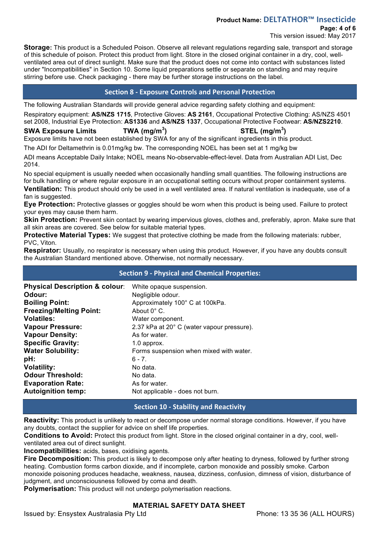#### **Product Name: DELTATHOR™ Insecticide**

This version issued: May 2017

**Storage:** This product is a Scheduled Poison. Observe all relevant regulations regarding sale, transport and storage of this schedule of poison. Protect this product from light. Store in the closed original container in a dry, cool, wellventilated area out of direct sunlight. Make sure that the product does not come into contact with substances listed under "Incompatibilities" in Section 10. Some liquid preparations settle or separate on standing and may require stirring before use. Check packaging - there may be further storage instructions on the label.

## **Section 8 - Exposure Controls and Personal Protection**

The following Australian Standards will provide general advice regarding safety clothing and equipment: Respiratory equipment: **AS/NZS 1715**, Protective Gloves: **AS 2161**, Occupational Protective Clothing: AS/NZS 4501 set 2008, Industrial Eye Protection: **AS1336** and **AS/NZS 1337**, Occupational Protective Footwear: **AS/NZS2210**.

#### **SWA Exposure Limits TWA (mg/m<sup>3</sup> ) STEL (mg/m<sup>3</sup> )**

Exposure limits have not been established by SWA for any of the significant ingredients in this product.

The ADI for Deltamethrin is 0.01mg/kg bw. The corresponding NOEL has been set at 1 mg/kg bw

ADI means Acceptable Daily Intake; NOEL means No-observable-effect-level. Data from Australian ADI List, Dec 2014.

No special equipment is usually needed when occasionally handling small quantities. The following instructions are for bulk handling or where regular exposure in an occupational setting occurs without proper containment systems. **Ventilation:** This product should only be used in a well ventilated area. If natural ventilation is inadequate, use of a fan is suggested.

**Eye Protection:** Protective glasses or goggles should be worn when this product is being used. Failure to protect your eyes may cause them harm.

**Skin Protection:** Prevent skin contact by wearing impervious gloves, clothes and, preferably, apron. Make sure that all skin areas are covered. See below for suitable material types.

**Protective Material Types:** We suggest that protective clothing be made from the following materials: rubber, PVC, Viton.

**Respirator:** Usually, no respirator is necessary when using this product. However, if you have any doubts consult the Australian Standard mentioned above. Otherwise, not normally necessary.

## **Section 9 - Physical and Chemical Properties:**

| <b>Physical Description &amp; colour:</b> | White opaque suspension.                   |
|-------------------------------------------|--------------------------------------------|
| Odour:                                    | Negligible odour.                          |
| <b>Boiling Point:</b>                     | Approximately 100° C at 100kPa.            |
| <b>Freezing/Melting Point:</b>            | About $0^{\circ}$ C.                       |
| <b>Volatiles:</b>                         | Water component.                           |
| <b>Vapour Pressure:</b>                   | 2.37 kPa at 20° C (water vapour pressure). |
| <b>Vapour Density:</b>                    | As for water.                              |
| <b>Specific Gravity:</b>                  | 1.0 approx.                                |
| <b>Water Solubility:</b>                  | Forms suspension when mixed with water.    |
| pH:                                       | $6 - 7$ .                                  |
| <b>Volatility:</b>                        | No data.                                   |
| <b>Odour Threshold:</b>                   | No data.                                   |
| <b>Evaporation Rate:</b>                  | As for water.                              |
| <b>Autoignition temp:</b>                 | Not applicable - does not burn.            |

## **Section 10 - Stability and Reactivity**

**Reactivity:** This product is unlikely to react or decompose under normal storage conditions. However, if you have any doubts, contact the supplier for advice on shelf life properties.

**Conditions to Avoid:** Protect this product from light. Store in the closed original container in a dry, cool, wellventilated area out of direct sunlight.

**Incompatibilities:** acids, bases, oxidising agents.

**Fire Decomposition:** This product is likely to decompose only after heating to dryness, followed by further strong heating. Combustion forms carbon dioxide, and if incomplete, carbon monoxide and possibly smoke. Carbon monoxide poisoning produces headache, weakness, nausea, dizziness, confusion, dimness of vision, disturbance of judgment, and unconsciousness followed by coma and death.

**Polymerisation:** This product will not undergo polymerisation reactions.

## **MATERIAL SAFETY DATA SHEET**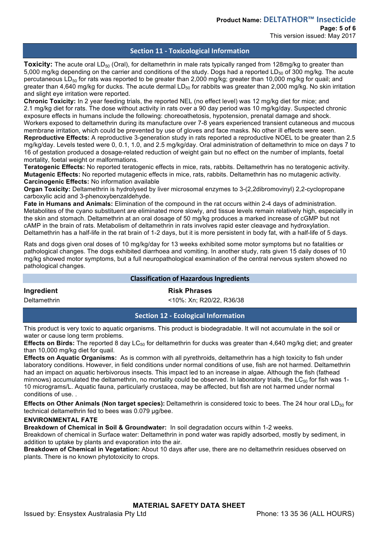## **Section 11 - Toxicological Information**

**Toxicity:** The acute oral LD<sub>50</sub> (Oral), for deltamethrin in male rats typically ranged from 128mg/kg to greater than 5,000 mg/kg depending on the carrier and conditions of the study. Dogs had a reported  $LD_{50}$  of 300 mg/kg. The acute percutaneous LD<sub>50</sub> for rats was reported to be greater than 2,000 mg/kg; greater than 10,000 mg/kg for quail; and greater than 4,640 mg/kg for ducks. The acute dermal  $LD_{50}$  for rabbits was greater than 2,000 mg/kg. No skin irritation and slight eye irritation were reported.

**Chronic Toxicity:** In 2 year feeding trials, the reported NEL (no effect level) was 12 mg/kg diet for mice; and 2.1 mg/kg diet for rats. The dose without activity in rats over a 90 day period was 10 mg/kg/day. Suspected chronic exposure effects in humans include the following: choreoathetosis, hypotension, prenatal damage and shock. Workers exposed to deltamethrin during its manufacture over 7-8 years experienced transient cutaneous and mucous membrane irritation, which could be prevented by use of gloves and face masks. No other ill effects were seen. **Reproductive Effects:** A reproductive 3-generation study in rats reported a reproductive NOEL to be greater than 2.5 mg/kg/day. Levels tested were 0, 0.1, 1.0, and 2.5 mg/kg/day. Oral administration of deltamethrin to mice on days 7 to 16 of gestation produced a dosage-related reduction of weight gain but no effect on the number of implants, foetal mortality, foetal weight or malformations.

**Teratogenic Effects:** No reported teratogenic effects in mice, rats, rabbits. Deltamethrin has no teratogenic activity. **Mutagenic Effects:** No reported mutagenic effects in mice, rats, rabbits. Deltamethrin has no mutagenic activity. **Carcinogenic Effects:** No information available

**Organ Toxicity:** Deltamethrin is hydrolysed by liver microsomal enzymes to 3-(2,2dibromovinyl) 2,2-cyclopropane carboxylic acid and 3-phenoxybenzaldehyde.

**Fate in Humans and Animals:** Elimination of the compound in the rat occurs within 2-4 days of administration. Metabolites of the cyano substituent are eliminated more slowly, and tissue levels remain relatively high, especially in the skin and stomach. Deltamethrin at an oral dosage of 50 mg/kg produces a marked increase of cGMP but not cAMP in the brain of rats. Metabolism of deltamethrin in rats involves rapid ester cleavage and hydroxylation. Deltamethrin has a half-life in the rat brain of 1-2 days, but it is more persistent in body fat, with a half-life of 5 days.

Rats and dogs given oral doses of 10 mg/kg/day for 13 weeks exhibited some motor symptoms but no fatalities or pathological changes. The dogs exhibited diarrhoea and vomiting. In another study, rats given 15 daily doses of 10 mg/kg showed motor symptoms, but a full neuropathological examination of the central nervous system showed no pathological changes.

#### **Classification of Hazardous Ingredients**

#### **Ingredient Risk Phrases**

Deltamethrin <10%: Xn; R20/22, R36/38

**Section 12 - Ecological Information**

This product is very toxic to aquatic organisms. This product is biodegradable. It will not accumulate in the soil or water or cause long term problems.

**Effects on Birds:** The reported 8 day LC<sub>50</sub> for deltamethrin for ducks was greater than 4,640 mg/kg diet; and greater than 10,000 mg/kg diet for quail.

**Effects on Aquatic Organisms:** As is common with all pyrethroids, deltamethrin has a high toxicity to fish under laboratory conditions. However, in field conditions under normal conditions of use, fish are not harmed. Deltamethrin had an impact on aquatic herbivorous insects. This impact led to an increase in algae. Although the fish (fathead minnows) accumulated the deltamethrin, no mortality could be observed. In laboratory trials, the LC $_{50}$  for fish was 1-10 micrograms/L. Aquatic fauna, particularly crustacea, may be affected, but fish are not harmed under normal conditions of use. .

**Effects on Other Animals (Non target species):** Deltamethrin is considered toxic to bees. The 24 hour oral LD<sub>50</sub> for technical deltamethrin fed to bees was 0.079 µg/bee.

#### **ENVIRONMENTAL FATE**

**Breakdown of Chemical in Soil & Groundwater:** In soil degradation occurs within 1-2 weeks.

Breakdown of chemical in Surface water: Deltamethrin in pond water was rapidly adsorbed, mostly by sediment, in addition to uptake by plants and evaporation into the air.

**Breakdown of Chemical in Vegetation:** About 10 days after use, there are no deltamethrin residues observed on plants. There is no known phytotoxicity to crops.